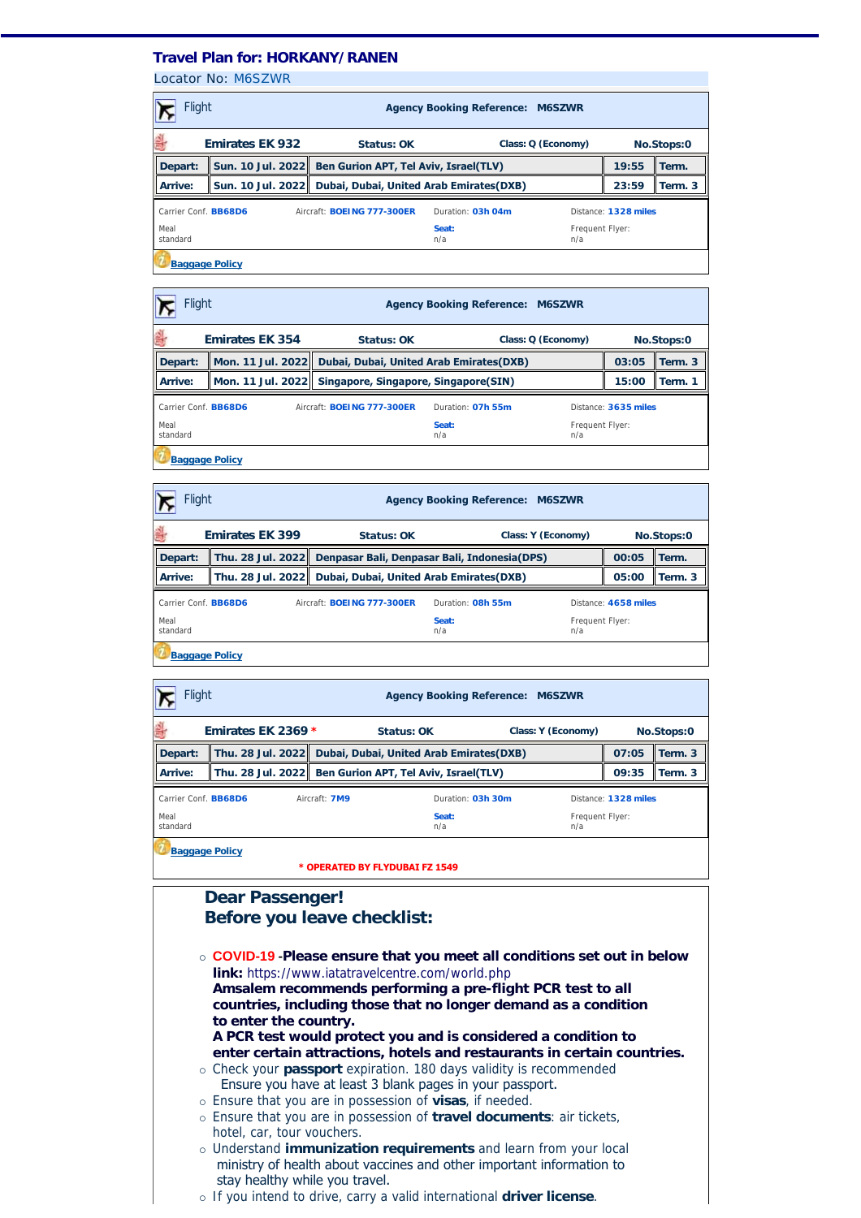## **Travel Plan for: HORKANY/RANEN**

Locator No: [M6SZWR](https://travel-management:44302/PassengersInPnr.aspx?pnr=M6SZWR&past=True&name=&office=&update=False&provider=WORLDSPAN&format=MjQgSG91cg==&brand=2&menu=False&fromversion=0&history=-1)

| <b>Flight</b><br><b>Agency Booking Reference: M6SZWR</b> |                        |                                                            |                                                         |                        |                      |            |  |
|----------------------------------------------------------|------------------------|------------------------------------------------------------|---------------------------------------------------------|------------------------|----------------------|------------|--|
| 싎                                                        | <b>Emirates EK 932</b> | Status: OK                                                 |                                                         | Class: Q (Economy)     |                      | No.Stops:0 |  |
| Depart:                                                  |                        |                                                            | Sun. 10 Jul. 2022 Ben Gurion APT, Tel Aviv, Israel(TLV) |                        |                      | Term.      |  |
| Arrive:                                                  |                        | Sun. 10 Jul. 2022 Dubai, Dubai, United Arab Emirates (DXB) | 23:59                                                   | Term. 3                |                      |            |  |
| Carrier Conf. BB68D6                                     |                        | Aircraft: <b>BOEING 777-300ER</b>                          | Duration: 03h 04m                                       |                        | Distance: 1328 miles |            |  |
| Meal<br>standard                                         |                        |                                                            | Seat:<br>n/a                                            | Frequent Flyer:<br>n/a |                      |            |  |
| <b>Baggage Policy</b>                                    |                        |                                                            |                                                         |                        |                      |            |  |

| <b>Flight</b><br><b>Agency Booking Reference: M6SZWR</b>  |                        |  |                                                           |                   |                        |                      |            |  |
|-----------------------------------------------------------|------------------------|--|-----------------------------------------------------------|-------------------|------------------------|----------------------|------------|--|
| 쇮                                                         | <b>Emirates EK 354</b> |  | Status: OK                                                |                   | Class: Q (Economy)     |                      | No.Stops:0 |  |
| Depart:                                                   |                        |  | Mon. 11 Jul. 2022 Dubai, Dubai, United Arab Emirates(DXB) |                   |                        | 03:05                | Term. 3    |  |
| Arrive:                                                   |                        |  | Mon. 11 Jul. 2022 Singapore, Singapore, Singapore(SIN)    |                   |                        | 15:00                | Term. 1    |  |
| Carrier Conf. <b>BB68D6</b><br>Aircraft: BOEING 777-300ER |                        |  |                                                           | Duration: 07h 55m |                        | Distance: 3635 miles |            |  |
| Meal<br>standard                                          |                        |  |                                                           | Seat:<br>n/a      | Frequent Flyer:<br>n/a |                      |            |  |
| <b>Baggage Policy</b>                                     |                        |  |                                                           |                   |                        |                      |            |  |

| Flight<br><b>Agency Booking Reference: M6SZWR</b>                              |                                                                |                                                            |              |                        |                      |            |  |
|--------------------------------------------------------------------------------|----------------------------------------------------------------|------------------------------------------------------------|--------------|------------------------|----------------------|------------|--|
| 릨                                                                              | <b>Emirates EK 399</b>                                         | Status: OK                                                 |              | Class: Y (Economy)     |                      | No.Stops:0 |  |
| Depart:                                                                        | Thu. 28 Jul. 2022 Denpasar Bali, Denpasar Bali, Indonesia(DPS) |                                                            |              |                        | 00:05                | Term.      |  |
| Arrive:                                                                        |                                                                | Thu. 28 Jul. 2022 Dubai, Dubai, United Arab Emirates (DXB) |              |                        | 05:00                | Term. 3    |  |
| Carrier Conf. BB68D6<br>Aircraft: <b>BOEING 777-300ER</b><br>Duration: 08h 55m |                                                                |                                                            |              |                        | Distance: 4658 miles |            |  |
| Meal<br>standard                                                               |                                                                |                                                            | Seat:<br>n/a | Frequent Flyer:<br>n/a |                      |            |  |
| <b>Baggage Policy</b>                                                          |                                                                |                                                            |              |                        |                      |            |  |

| <b>Flight</b><br><b>Agency Booking Reference: M6SZWR</b>                  |  |  |                                                           |  |                        |       |         |
|---------------------------------------------------------------------------|--|--|-----------------------------------------------------------|--|------------------------|-------|---------|
| 릨<br>Emirates EK 2369 *<br>Class: Y (Economy)<br>Status: OK<br>No.Stops:0 |  |  |                                                           |  |                        |       |         |
| Depart:                                                                   |  |  | Thu. 28 Jul. 2022 Dubai, Dubai, United Arab Emirates(DXB) |  |                        | 07:05 | Term. 3 |
| Arrive:                                                                   |  |  | Thu. 28 Jul. 2022 Ben Gurion APT, Tel Aviv, Israel(TLV)   |  |                        | 09:35 | Term. 3 |
| Carrier Conf. BB68D6<br>Duration: 03h 30m<br>Aircraft: 7M9                |  |  |                                                           |  | Distance: 1328 miles   |       |         |
| Meal<br>standard                                                          |  |  | Seat:<br>n/a                                              |  | Frequent Flyer:<br>n/a |       |         |
|                                                                           |  |  |                                                           |  |                        |       |         |

**[Baggage Policy](http://www.emirates.com/us/english/plan_book/essential_information/baggages/baggages.aspx)** 

**\* OPERATED BY FLYDUBAI FZ 1549** 

## **Dear Passenger! Before you leave checklist:** ¡ **COVID-19 -Please ensure that you meet all conditions set out in below link:** <https://www.iatatravelcentre.com/world.php> **Amsalem recommends performing a pre-flight PCR test to all countries, including those that no longer demand as a condition to enter the country. A PCR test would protect you and is considered a condition to [enter certain attractions, hotels and restaurants in certain countries.](https://www.iatatravelcentre.com/world.php)** ¡ Check your **passport** expiration. 180 days validity is recommended Ensure you have at least 3 blank pages in your passport. ¡ Ensure that you are in possession of **visas**, if needed. ¡ Ensure that you are in possession of **travel documents**: air tickets, hotel, car, tour vouchers. ¡ Understand **immunization requirements** and learn from your local ministry of health about vaccines and other important information to stay healthy while you travel.

¡ If you intend to drive, carry a valid international **driver license**.